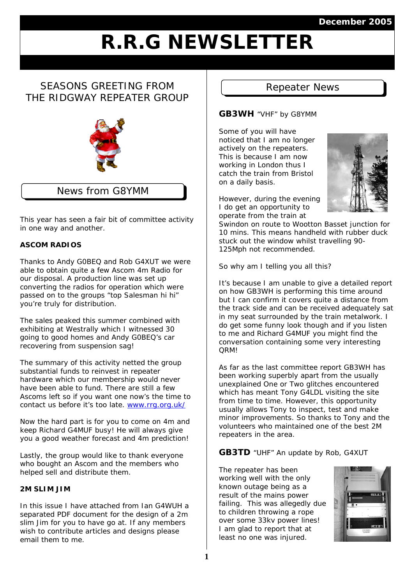## **December 2005**

# **R.R.G NEWSLETTER**

# SEASONS GREETING FROM THE RIDGWAY REPEATER GROUP



## News from G8YMM

This year has seen a fair bit of committee activity in one way and another.

## **ASCOM RADIOS**

Thanks to Andy G0BEQ and Rob G4XUT we were able to obtain quite a few Ascom 4m Radio for our disposal. A production line was set up converting the radios for operation which were passed on to the groups "top Salesman hi hi" you're truly for distribution.

The sales peaked this summer combined with exhibiting at Westrally which I witnessed 30 going to good homes and Andy G0BEQ's car recovering from suspension sag!

The summary of this activity netted the group substantial funds to reinvest in repeater hardware which our membership would never have been able to fund. There are still a few Ascoms left so if you want one now's the time to contact us before it's too late. [www.rrg.org.uk/](http://www.rrg.org.uk/)

Now the hard part is for you to come on 4m and keep Richard G4MUF busy! He will always give you a good weather forecast and 4m prediction!

Lastly, the group would like to thank everyone who bought an Ascom and the members who helped sell and distribute them.

#### **2M SLIM JIM**

In this issue I have attached from Ian G4WUH a separated PDF document for the design of a 2m slim Jim for you to have go at. If any members wish to contribute articles and designs please email them to me.

## Repeater News

#### **GB3WH** "VHF" by G8YMM

Some of you will have noticed that I am no longer actively on the repeaters. This is because I am now working in London thus I catch the train from Bristol on a daily basis.



However, during the evening I do get an opportunity to operate from the train at

Swindon on route to Wootton Basset junction for 10 mins. This means handheld with rubber duck stuck out the window whilst travelling 90- 125Mph not recommended.

So why am I telling you all this?

It's because I am unable to give a detailed report on how GB3WH is performing this time around but I can confirm it covers quite a distance from the track side and can be received adequately sat in my seat surrounded by the train metalwork. I do get some funny look though and if you listen to me and Richard G4MUF you might find the conversation containing some very interesting QRM!

As far as the last committee report GB3WH has been working superbly apart from the usually unexplained One or Two glitches encountered which has meant Tony G4LDL visiting the site from time to time. However, this opportunity usually allows Tony to inspect, test and make minor improvements. So thanks to Tony and the volunteers who maintained one of the best 2M repeaters in the area.

**GB3TD** "UHF" An update by Rob, G4XUT

The repeater has been working well with the only known outage being as a result of the mains power failing. This was allegedly due to children throwing a rope over some 33kv power lines! I am glad to report that at least no one was injured.